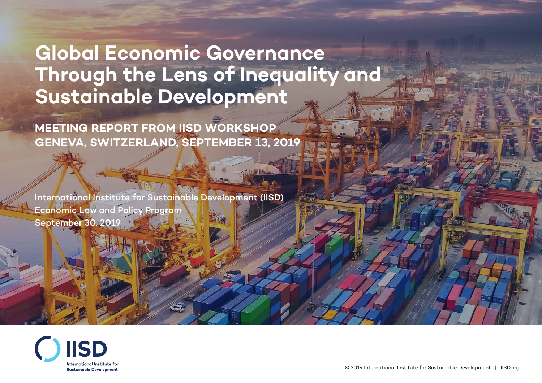# **Global Economic Governance Through the Lens of Inequality and Sustainable Development**

**MEETING REPORT FROM IISD WORKSHOP GENEVA, SWITZERLAND, SEPTEMBER 13, 2019**

International Institute for Sustainable Development (IISD) Economic Law and Policy Program September 30, 2019

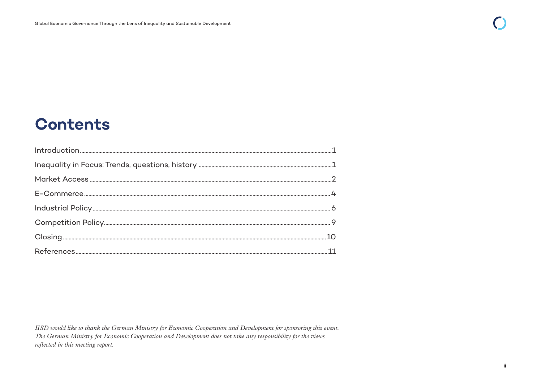# **Contents**

IISD would like to thank the German Ministry for Economic Cooperation and Development for sponsoring this event. The German Ministry for Economic Cooperation and Development does not take any responsibility for the views reflected in this meeting report.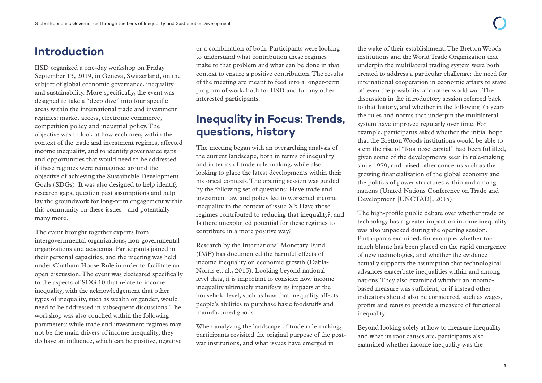### <span id="page-2-0"></span>**Introduction**

IISD organized a one-day workshop on Friday September 13, 2019, in Geneva, Switzerland, on the subject of global economic governance, inequality and sustainability. More specifically, the event was designed to take a "deep dive" into four specific areas within the international trade and investment regimes: market access, electronic commerce, competition policy and industrial policy. The objective was to look at how each area, within the context of the trade and investment regimes, affected income inequality, and to identify governance gaps and opportunities that would need to be addressed if these regimes were reimagined around the objective of achieving the Sustainable Development Goals (SDGs). It was also designed to help identify research gaps, question past assumptions and help lay the groundwork for long-term engagement within this community on these issues—and potentially many more.

The event brought together experts from intergovernmental organizations, non-governmental organizations and academia. Participants joined in their personal capacities, and the meeting was held under Chatham House Rule in order to facilitate an open discussion. The event was dedicated specifically to the aspects of SDG 10 that relate to income inequality, with the acknowledgement that other types of inequality, such as wealth or gender, would need to be addressed in subsequent discussions. The workshop was also couched within the following parameters: while trade and investment regimes may not be the main drivers of income inequality, they do have an influence, which can be positive, negative

or a combination of both. Participants were looking to understand what contribution these regimes make to that problem and what can be done in that context to ensure a positive contribution. The results of the meeting are meant to feed into a longer-term program of work, both for IISD and for any other interested participants.

### **Inequality in Focus: Trends, questions, history**

The meeting began with an overarching analysis of the current landscape, both in terms of inequality and in terms of trade rule-making, while also looking to place the latest developments within their historical contexts. The opening session was guided by the following set of questions: Have trade and investment law and policy led to worsened income inequality in the context of issue X?; Have those regimes contributed to reducing that inequality?; and Is there unexploited potential for these regimes to contribute in a more positive way?

Research by the International Monetary Fund (IMF) has documented the harmful effects of income inequality on economic growth (Dabla-Norris et. al., 2015). Looking beyond nationallevel data, it is important to consider how income inequality ultimately manifests its impacts at the household level, such as how that inequality affects people's abilities to purchase basic foodstuffs and manufactured goods.

When analyzing the landscape of trade rule-making, participants revisited the original purpose of the postwar institutions, and what issues have emerged in

the wake of their establishment. The Bretton Woods institutions and the World Trade Organization that underpin the multilateral trading system were both created to address a particular challenge: the need for international cooperation in economic affairs to stave off even the possibility of another world war. The discussion in the introductory session referred back to that history, and whether in the following 75 years the rules and norms that underpin the multilateral system have improved regularly over time. For example, participants asked whether the initial hope that the Bretton Woods institutions would be able to stem the rise of "footloose capital" had been fulfilled, given some of the developments seen in rule-making since 1979, and raised other concerns such as the growing financialization of the global economy and the politics of power structures within and among nations (United Nations Conference on Trade and Development [UNCTAD], 2015).

The high-profile public debate over whether trade or technology has a greater impact on income inequality was also unpacked during the opening session. Participants examined, for example, whether too much blame has been placed on the rapid emergence of new technologies, and whether the evidence actually supports the assumption that technological advances exacerbate inequalities within and among nations. They also examined whether an incomebased measure was sufficient, or if instead other indicators should also be considered, such as wages, profits and rents to provide a measure of functional inequality.

Beyond looking solely at how to measure inequality and what its root causes are, participants also examined whether income inequality was the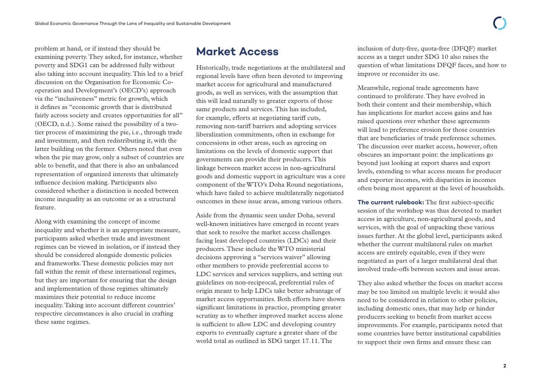<span id="page-3-0"></span>problem at hand, or if instead they should be examining poverty. They asked, for instance, whether poverty and SDG1 can be addressed fully without also taking into account inequality. This led to a brief discussion on the Organisation for Economic Cooperation and Development's (OECD's) approach via the "inclusiveness" metric for growth, which it defines as "economic growth that is distributed fairly across society and creates opportunities for all" (OECD, n.d.). Some raised the possibility of a twotier process of maximizing the pie, i.e., through trade and investment, and then redistributing it, with the latter building on the former. Others noted that even when the pie may grow, only a subset of countries are able to benefit, and that there is also an unbalanced representation of organized interests that ultimately influence decision making. Participants also considered whether a distinction is needed between income inequality as an outcome or as a structural feature.

Along with examining the concept of income inequality and whether it is an appropriate measure, participants asked whether trade and investment regimes can be viewed in isolation, or if instead they should be considered alongside domestic policies and frameworks. These domestic policies may not fall within the remit of these international regimes, but they are important for ensuring that the design and implementation of those regimes ultimately maximizes their potential to reduce income inequality. Taking into account different countries' respective circumstances is also crucial in crafting these same regimes.

### **Market Access**

Historically, trade negotiations at the multilateral and regional levels have often been devoted to improving market access for agricultural and manufactured goods, as well as services, with the assumption that this will lead naturally to greater exports of those same products and services. This has included, for example, efforts at negotiating tariff cuts, removing non-tariff barriers and adopting services liberalization commitments, often in exchange for concessions in other areas, such as agreeing on limitations on the levels of domestic support that governments can provide their producers. This linkage between market access in non-agricultural goods and domestic support in agriculture was a core component of the WTO's Doha Round negotiations, which have failed to achieve multilaterally negotiated outcomes in these issue areas, among various others.

Aside from the dynamic seen under Doha, several well-known initiatives have emerged in recent years that seek to resolve the market access challenges facing least developed countries (LDCs) and their producers. These include the WTO ministerial decisions approving a "services waiver" allowing other members to provide preferential access to LDC services and services suppliers, and setting out guidelines on non-reciprocal, preferential rules of origin meant to help LDCs take better advantage of market access opportunities. Both efforts have shown significant limitations in practice, prompting greater scrutiny as to whether improved market access alone is sufficient to allow LDC and developing country exports to eventually capture a greater share of the world total as outlined in SDG target 17.11. The

inclusion of duty-free, quota-free (DFQF) market access as a target under SDG 10 also raises the question of what limitations DFQF faces, and how to improve or reconsider its use.

Meanwhile, regional trade agreements have continued to proliferate. They have evolved in both their content and their membership, which has implications for market access gains and has raised questions over whether these agreements will lead to preference erosion for those countries that are beneficiaries of trade preference schemes. The discussion over market access, however, often obscures an important point: the implications go beyond just looking at export shares and export levels, extending to what access means for producer and exporter incomes, with disparities in incomes often being most apparent at the level of households.

**The current rulebook:** The first subject-specific session of the workshop was thus devoted to market access in agriculture, non-agricultural goods, and services, with the goal of unpacking these various issues further. At the global level, participants asked whether the current multilateral rules on market access are entirely equitable, even if they were negotiated as part of a larger multilateral deal that involved trade-offs between sectors and issue areas.

They also asked whether the focus on market access may be too limited on multiple levels: it would also need to be considered in relation to other policies, including domestic ones, that may help or hinder producers seeking to benefit from market access improvements. For example, participants noted that some countries have better institutional capabilities to support their own firms and ensure these can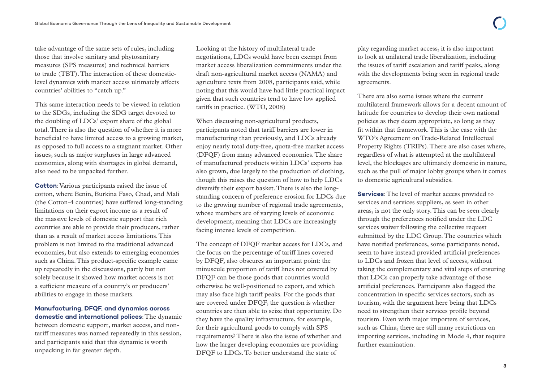take advantage of the same sets of rules, including those that involve sanitary and phytosanitary measures (SPS measures) and technical barriers to trade (TBT). The interaction of these domesticlevel dynamics with market access ultimately affects countries' abilities to "catch up."

This same interaction needs to be viewed in relation to the SDGs, including the SDG target devoted to the doubling of LDCs' export share of the global total. There is also the question of whether it is more beneficial to have limited access to a growing market, as opposed to full access to a stagnant market. Other issues, such as major surpluses in large advanced economies, along with shortages in global demand, also need to be unpacked further.

**Cotton**: Various participants raised the issue of cotton, where Benin, Burkina Faso, Chad, and Mali (the Cotton-4 countries) have suffered long-standing limitations on their export income as a result of the massive levels of domestic support that rich countries are able to provide their producers, rather than as a result of market access limitations. This problem is not limited to the traditional advanced economies, but also extends to emerging economies such as China. This product-specific example came up repeatedly in the discussions, partly but not solely because it showed how market access is not a sufficient measure of a country's or producers' abilities to engage in those markets.

#### **Manufacturing, DFQF, and dynamics across domestic and international polices**: The dynamic

between domestic support, market access, and nontariff measures was named repeatedly in this session, and participants said that this dynamic is worth unpacking in far greater depth.

Looking at the history of multilateral trade negotiations, LDCs would have been exempt from market access liberalization commitments under the draft non-agricultural market access (NAMA) and agriculture texts from 2008, participants said, while noting that this would have had little practical impact given that such countries tend to have low applied tariffs in practice. (WTO, 2008)

When discussing non-agricultural products, participants noted that tariff barriers are lower in manufacturing than previously, and LDCs already enjoy nearly total duty-free, quota-free market access (DFQF) from many advanced economies. The share of manufactured products within LDCs' exports has also grown, due largely to the production of clothing, though this raises the question of how to help LDCs diversify their export basket. There is also the longstanding concern of preference erosion for LDCs due to the growing number of regional trade agreements, whose members are of varying levels of economic development, meaning that LDCs are increasingly facing intense levels of competition.

The concept of DFQF market access for LDCs, and the focus on the percentage of tariff lines covered by DFQF, also obscures an important point: the minuscule proportion of tariff lines not covered by DFQF can be those goods that countries would otherwise be well-positioned to export, and which may also face high tariff peaks. For the goods that are covered under DFQF, the question is whether countries are then able to seize that opportunity. Do they have the quality infrastructure, for example, for their agricultural goods to comply with SPS requirements? There is also the issue of whether and how the larger developing economies are providing DFQF to LDCs. To better understand the state of

play regarding market access, it is also important to look at unilateral trade liberalization, including the issues of tariff escalation and tariff peaks, along with the developments being seen in regional trade agreements.

There are also some issues where the current multilateral framework allows for a decent amount of latitude for countries to develop their own national policies as they deem appropriate, so long as they fit within that framework. This is the case with the WTO's Agreement on Trade-Related Intellectual Property Rights (TRIPs). There are also cases where, regardless of what is attempted at the multilateral level, the blockages are ultimately domestic in nature, such as the pull of major lobby groups when it comes to domestic agricultural subsidies.

**Services**: The level of market access provided to services and services suppliers, as seen in other areas, is not the only story. This can be seen clearly through the preferences notified under the LDC services waiver following the collective request submitted by the LDC Group. The countries which have notified preferences, some participants noted, seem to have instead provided artificial preferences to LDCs and frozen that level of access, without taking the complementary and vital steps of ensuring that LDCs can properly take advantage of those artificial preferences. Participants also flagged the concentration in specific services sectors, such as tourism, with the argument here being that LDCs need to strengthen their services profile beyond tourism. Even with major importers of services, such as China, there are still many restrictions on importing services, including in Mode 4, that require further examination.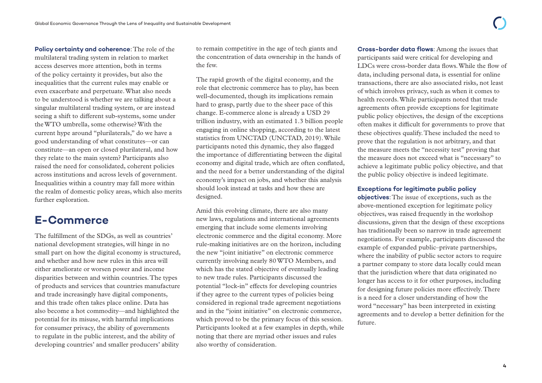<span id="page-5-0"></span>**Policy certainty and coherence**: The role of the multilateral trading system in relation to market access deserves more attention, both in terms of the policy certainty it provides, but also the inequalities that the current rules may enable or even exacerbate and perpetuate. What also needs to be understood is whether we are talking about a singular multilateral trading system, or are instead seeing a shift to different sub-systems, some under the WTO umbrella, some otherwise? With the current hype around "plurilaterals," do we have a good understanding of what constitutes—or can constitute—an open or closed plurilateral, and how they relate to the main system? Participants also raised the need for consolidated, coherent policies across institutions and across levels of government. Inequalities within a country may fall more within the realm of domestic policy areas, which also merits further exploration.

### **E-Commerce**

The fulfillment of the SDGs, as well as countries' national development strategies, will hinge in no small part on how the digital economy is structured, and whether and how new rules in this area will either ameliorate or worsen power and income disparities between and within countries. The types of products and services that countries manufacture and trade increasingly have digital components, and this trade often takes place online. Data has also become a hot commodity—and highlighted the potential for its misuse, with harmful implications for consumer privacy, the ability of governments to regulate in the public interest, and the ability of developing countries' and smaller producers' ability

to remain competitive in the age of tech giants and the concentration of data ownership in the hands of the few.

The rapid growth of the digital economy, and the role that electronic commerce has to play, has been well-documented, though its implications remain hard to grasp, partly due to the sheer pace of this change. E-commerce alone is already a USD 29 trillion industry, with an estimated 1.3 billion people engaging in online shopping, according to the latest statistics from UNCTAD (UNCTAD, 2019). While participants noted this dynamic, they also flagged the importance of differentiating between the digital economy and digital trade, which are often conflated, and the need for a better understanding of the digital economy's impact on jobs, and whether this analysis should look instead at tasks and how these are designed.

Amid this evolving climate, there are also many new laws, regulations and international agreements emerging that include some elements involving electronic commerce and the digital economy. More rule-making initiatives are on the horizon, including the new "joint initiative" on electronic commerce currently involving nearly 80 WTO Members, and which has the stated objective of eventually leading to new trade rules. Participants discussed the potential "lock-in" effects for developing countries if they agree to the current types of policies being considered in regional trade agreement negotiations and in the "joint initiative" on electronic commerce, which proved to be the primary focus of this session. Participants looked at a few examples in depth, while noting that there are myriad other issues and rules also worthy of consideration.

**Cross-border data flows**: Among the issues that participants said were critical for developing and LDCs were cross-border data flows. While the flow of data, including personal data, is essential for online transactions, there are also associated risks, not least of which involves privacy, such as when it comes to health records. While participants noted that trade agreements often provide exceptions for legitimate public policy objectives, the design of the exceptions often makes it difficult for governments to prove that these objectives qualify. These included the need to prove that the regulation is not arbitrary, and that the measure meets the "necessity test" proving that the measure does not exceed what is "necessary" to achieve a legitimate public policy objective, and that the public policy objective is indeed legitimate.

#### **Exceptions for legitimate public policy**

**objectives**: The issue of exceptions, such as the above-mentioned exception for legitimate policy objectives, was raised frequently in the workshop discussions, given that the design of these exceptions has traditionally been so narrow in trade agreement negotiations. For example, participants discussed the example of expanded public–private partnerships, where the inability of public sector actors to require a partner company to store data locally could mean that the jurisdiction where that data originated no longer has access to it for other purposes, including for designing future policies more effectively. There is a need for a closer understanding of how the word "necessary" has been interpreted in existing agreements and to develop a better definition for the future.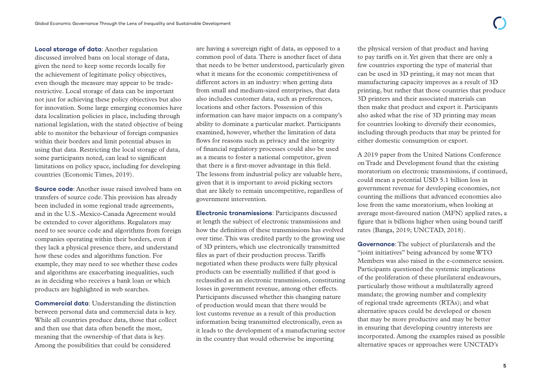**Local storage of data**: Another regulation discussed involved bans on local storage of data, given the need to keep some records locally for the achievement of legitimate policy objectives, even though the measure may appear to be traderestrictive. Local storage of data can be important not just for achieving these policy objectives but also for innovation. Some large emerging economies have data localization policies in place, including through national legislation, with the stated objective of being able to monitor the behaviour of foreign companies within their borders and limit potential abuses in using that data. Restricting the local storage of data, some participants noted, can lead to significant limitations on policy space, including for developing countries (Economic Times, 2019).

**Source code**: Another issue raised involved bans on transfers of source code. This provision has already been included in some regional trade agreements, and in the U.S.-Mexico-Canada Agreement would be extended to cover algorithms. Regulators may need to see source code and algorithms from foreign companies operating within their borders, even if they lack a physical presence there, and understand how these codes and algorithms function. For example, they may need to see whether these codes and algorithms are exacerbating inequalities, such as in deciding who receives a bank loan or which products are highlighted in web searches.

**Commercial data**: Understanding the distinction between personal data and commercial data is key. While all countries produce data, those that collect and then use that data often benefit the most, meaning that the ownership of that data is key. Among the possibilities that could be considered

are having a sovereign right of data, as opposed to a common pool of data. There is another facet of data that needs to be better understood, particularly given what it means for the economic competitiveness of different actors in an industry: when getting data from small and medium-sized enterprises, that data also includes customer data, such as preferences, locations and other factors. Possession of this information can have major impacts on a company's ability to dominate a particular market. Participants examined, however, whether the limitation of data flows for reasons such as privacy and the integrity of financial regulatory processes could also be used as a means to foster a national competitor, given that there is a first-mover advantage in this field. The lessons from industrial policy are valuable here, given that it is important to avoid picking sectors that are likely to remain uncompetitive, regardless of government intervention.

**Electronic transmissions**: Participants discussed at length the subject of electronic transmissions and how the definition of these transmissions has evolved over time. This was credited partly to the growing use of 3D printers, which use electronically transmitted files as part of their production process. Tariffs negotiated when these products were fully physical products can be essentially nullified if that good is reclassified as an electronic transmission, constituting losses in government revenue, among other effects. Participants discussed whether this changing nature of production would mean that there would be lost customs revenue as a result of this production information being transmitted electronically, even as it leads to the development of a manufacturing sector in the country that would otherwise be importing

the physical version of that product and having to pay tariffs on it. Yet given that there are only a few countries exporting the type of material that can be used in 3D printing, it may not mean that manufacturing capacity improves as a result of 3D printing, but rather that those countries that produce 3D printers and their associated materials can then make that product and export it. Participants also asked what the rise of 3D printing may mean for countries looking to diversify their economies, including through products that may be printed for either domestic consumption or export.

A 2019 paper from the United Nations Conference on Trade and Development found that the existing moratorium on electronic transmissions, if continued, could mean a potential USD 5.1 billion loss in government revenue for developing economies, not counting the millions that advanced economies also lose from the same moratorium, when looking at average most-favoured nation (MFN) applied rates, a figure that is billions higher when using bound tariff rates (Banga, 2019; UNCTAD, 2018).

**Governance**: The subject of plurilaterals and the "joint initiatives" being advanced by some WTO Members was also raised in the e-commerce session. Participants questioned the systemic implications of the proliferation of these plurilateral endeavours, particularly those without a multilaterally agreed mandate; the growing number and complexity of regional trade agreements (RTAs); and what alternative spaces could be developed or chosen that may be more productive and may be better in ensuring that developing country interests are incorporated. Among the examples raised as possible alternative spaces or approaches were UNCTAD's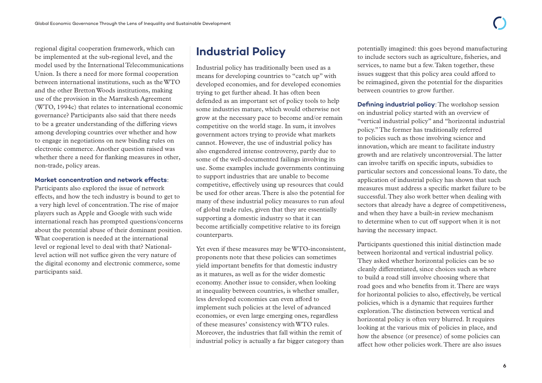<span id="page-7-0"></span>regional digital cooperation framework, which can be implemented at the sub-regional level, and the model used by the International Telecommunications Union. Is there a need for more formal cooperation between international institutions, such as the WTO and the other Bretton Woods institutions, making use of the provision in the Marrakesh Agreement (WTO, 1994c) that relates to international economic governance? Participants also said that there needs to be a greater understanding of the differing views among developing countries over whether and how to engage in negotiations on new binding rules on electronic commerce. Another question raised was whether there a need for flanking measures in other, non-trade, policy areas.

#### **Market concentration and network effects**:

Participants also explored the issue of network effects, and how the tech industry is bound to get to a very high level of concentration. The rise of major players such as Apple and Google with such wide international reach has prompted questions/concerns about the potential abuse of their dominant position. What cooperation is needed at the international level or regional level to deal with that? Nationallevel action will not suffice given the very nature of the digital economy and electronic commerce, some participants said.

### **Industrial Policy**

Industrial policy has traditionally been used as a means for developing countries to "catch up" with developed economies, and for developed economies trying to get further ahead. It has often been defended as an important set of policy tools to help some industries mature, which would otherwise not grow at the necessary pace to become and/or remain competitive on the world stage. In sum, it involves government actors trying to provide what markets cannot. However, the use of industrial policy has also engendered intense controversy, partly due to some of the well-documented failings involving its use. Some examples include governments continuing to support industries that are unable to become competitive, effectively using up resources that could be used for other areas. There is also the potential for many of these industrial policy measures to run afoul of global trade rules, given that they are essentially supporting a domestic industry so that it can become artificially competitive relative to its foreign counterparts.

Yet even if these measures may be WTO-inconsistent, proponents note that these policies can sometimes yield important benefits for that domestic industry as it matures, as well as for the wider domestic economy. Another issue to consider, when looking at inequality between countries, is whether smaller, less developed economies can even afford to implement such policies at the level of advanced economies, or even large emerging ones, regardless of these measures' consistency with WTO rules. Moreover, the industries that fall within the remit of industrial policy is actually a far bigger category than

potentially imagined: this goes beyond manufacturing to include sectors such as agriculture, fisheries, and services, to name but a few. Taken together, these issues suggest that this policy area could afford to be reimagined, given the potential for the disparities between countries to grow further.

**Defining industrial policy:** The workshop session on industrial policy started with an overview of "vertical industrial policy" and "horizontal industrial policy." The former has traditionally referred to policies such as those involving science and innovation, which are meant to facilitate industry growth and are relatively uncontroversial. The latter can involve tariffs on specific inputs, subsidies to particular sectors and concessional loans. To date, the application of industrial policy has shown that such measures must address a specific market failure to be successful. They also work better when dealing with sectors that already have a degree of competitiveness, and when they have a built-in review mechanism to determine when to cut off support when it is not having the necessary impact.

Participants questioned this initial distinction made between horizontal and vertical industrial policy. They asked whether horizontal policies can be so cleanly differentiated, since choices such as where to build a road still involve choosing where that road goes and who benefits from it. There are ways for horizontal policies to also, effectively, be vertical policies, which is a dynamic that requires further exploration. The distinction between vertical and horizontal policy is often very blurred. It requires looking at the various mix of policies in place, and how the absence (or presence) of some policies can affect how other policies work. There are also issues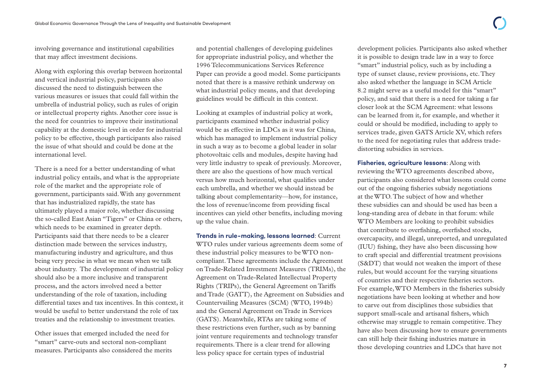involving governance and institutional capabilities that may affect investment decisions.

Along with exploring this overlap between horizontal and vertical industrial policy, participants also discussed the need to distinguish between the various measures or issues that could fall within the umbrella of industrial policy, such as rules of origin or intellectual property rights. Another core issue is the need for countries to improve their institutional capability at the domestic level in order for industrial policy to be effective, though participants also raised the issue of what should and could be done at the international level.

There is a need for a better understanding of what industrial policy entails, and what is the appropriate role of the market and the appropriate role of government, participants said. With any government that has industrialized rapidly, the state has ultimately played a major role, whether discussing the so-called East Asian "Tigers" or China or others, which needs to be examined in greater depth. Participants said that there needs to be a clearer distinction made between the services industry, manufacturing industry and agriculture, and thus being very precise in what we mean when we talk about industry. The development of industrial policy should also be a more inclusive and transparent process, and the actors involved need a better understanding of the role of taxation, including differential taxes and tax incentives. In this context, it would be useful to better understand the role of tax treaties and the relationship to investment treaties.

Other issues that emerged included the need for "smart" carve-outs and sectoral non-compliant measures. Participants also considered the merits and potential challenges of developing guidelines for appropriate industrial policy, and whether the 1996 Telecommunications Services Reference Paper can provide a good model. Some participants noted that there is a massive rethink underway on what industrial policy means, and that developing guidelines would be difficult in this context.

Looking at examples of industrial policy at work, participants examined whether industrial policy would be as effective in LDCs as it was for China, which has managed to implement industrial policy in such a way as to become a global leader in solar photovoltaic cells and modules, despite having had very little industry to speak of previously. Moreover, there are also the questions of how much vertical versus how much horizontal, what qualifies under each umbrella, and whether we should instead be talking about complementarity—how, for instance, the loss of revenue/income from providing fiscal incentives can yield other benefits, including moving up the value chain.

**Trends in rule-making, lessons learned**: Current WTO rules under various agreements deem some of these industrial policy measures to be WTO noncompliant. These agreements include the Agreement on Trade-Related Investment Measures (TRIMs), the Agreement on Trade-Related Intellectual Property Rights (TRIPs), the General Agreement on Tariffs and Trade (GATT), the Agreement on Subsidies and Countervailing Measures (SCM) (WTO, 1994b) and the General Agreement on Trade in Services (GATS). Meanwhile, RTAs are taking some of these restrictions even further, such as by banning joint venture requirements and technology transfer requirements. There is a clear trend for allowing less policy space for certain types of industrial

development policies. Participants also asked whether it is possible to design trade law in a way to force "smart" industrial policy, such as by including a type of sunset clause, review provisions, etc. They also asked whether the language in SCM Article 8.2 might serve as a useful model for this "smart" policy, and said that there is a need for taking a far closer look at the SCM Agreement: what lessons can be learned from it, for example, and whether it could or should be modified, including to apply to services trade, given GATS Article XV, which refers to the need for negotiating rules that address tradedistorting subsidies in services.

**Fisheries, agriculture lessons**: Along with reviewing the WTO agreements described above, participants also considered what lessons could come out of the ongoing fisheries subsidy negotiations at the WTO. The subject of how and whether these subsidies can and should be used has been a long-standing area of debate in that forum: while WTO Members are looking to prohibit subsidies that contribute to overfishing, overfished stocks, overcapacity, and illegal, unreported, and unregulated (IUU) fishing, they have also been discussing how to craft special and differential treatment provisions (S&DT) that would not weaken the import of these rules, but would account for the varying situations of countries and their respective fisheries sectors. For example, WTO Members in the fisheries subsidy negotiations have been looking at whether and how to carve out from disciplines those subsidies that support small-scale and artisanal fishers, which otherwise may struggle to remain competitive. They have also been discussing how to ensure governments can still help their fishing industries mature in those developing countries and LDCs that have not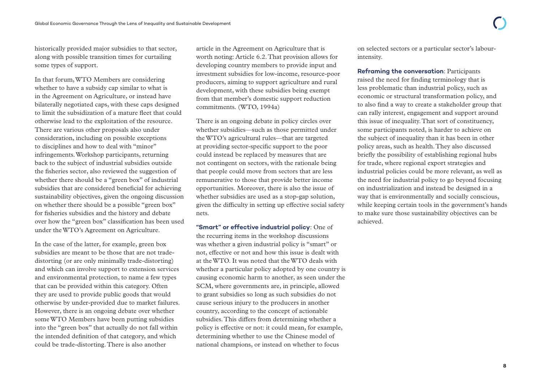historically provided major subsidies to that sector, along with possible transition times for curtailing some types of support.

In that forum, WTO Members are considering whether to have a subsidy cap similar to what is in the Agreement on Agriculture, or instead have bilaterally negotiated caps, with these caps designed to limit the subsidization of a mature fleet that could otherwise lead to the exploitation of the resource. There are various other proposals also under consideration, including on possible exceptions to disciplines and how to deal with "minor" infringements. Workshop participants, returning back to the subject of industrial subsidies outside the fisheries sector, also reviewed the suggestion of whether there should be a "green box" of industrial subsidies that are considered beneficial for achieving sustainability objectives, given the ongoing discussion on whether there should be a possible "green box" for fisheries subsidies and the history and debate over how the "green box" classification has been used under the WTO's Agreement on Agriculture.

In the case of the latter, for example, green box subsidies are meant to be those that are not tradedistorting (or are only minimally trade-distorting) and which can involve support to extension services and environmental protection, to name a few types that can be provided within this category. Often they are used to provide public goods that would otherwise by under-provided due to market failures. However, there is an ongoing debate over whether some WTO Members have been putting subsidies into the "green box" that actually do not fall within the intended definition of that category, and which could be trade-distorting. There is also another

article in the Agreement on Agriculture that is worth noting: Article 6.2. That provision allows for developing country members to provide input and investment subsidies for low-income, resource-poor producers, aiming to support agriculture and rural development, with these subsidies being exempt from that member's domestic support reduction commitments. (WTO, 1994a)

There is an ongoing debate in policy circles over whether subsidies—such as those permitted under the WTO's agricultural rules—that are targeted at providing sector-specific support to the poor could instead be replaced by measures that are not contingent on sectors, with the rationale being that people could move from sectors that are less remunerative to those that provide better income opportunities. Moreover, there is also the issue of whether subsidies are used as a stop-gap solution, given the difficulty in setting up effective social safety nets.

**"Smart" or effective industrial policy**: One of the recurring items in the workshop discussions was whether a given industrial policy is "smart" or not, effective or not and how this issue is dealt with at the WTO. It was noted that the WTO deals with whether a particular policy adopted by one country is causing economic harm to another, as seen under the SCM, where governments are, in principle, allowed to grant subsidies so long as such subsidies do not cause serious injury to the producers in another country, according to the concept of actionable subsidies. This differs from determining whether a policy is effective or not: it could mean, for example, determining whether to use the Chinese model of national champions, or instead on whether to focus

on selected sectors or a particular sector's labourintensity.

**Reframing the conversation**: Participants raised the need for finding terminology that is less problematic than industrial policy, such as economic or structural transformation policy, and to also find a way to create a stakeholder group that can rally interest, engagement and support around this issue of inequality. That sort of constituency, some participants noted, is harder to achieve on the subject of inequality than it has been in other policy areas, such as health. They also discussed briefly the possibility of establishing regional hubs for trade, where regional export strategies and industrial policies could be more relevant, as well as the need for industrial policy to go beyond focusing on industrialization and instead be designed in a way that is environmentally and socially conscious, while keeping certain tools in the government's hands to make sure those sustainability objectives can be achieved.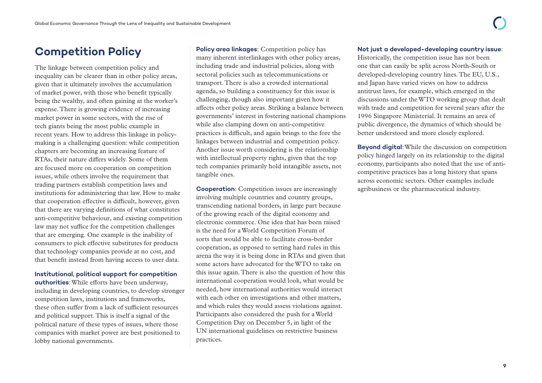## <span id="page-10-0"></span>**Competition Policy**

The linkage between competition policy and inequality can be clearer than in other policy areas, given that it ultimately involves the accumulation of market power, with those who benefit typically being the wealthy, and often gaining at the worker's expense. There is growing evidence of increasing market power in some sectors, with the rise of tech giants being the most public example in recent years. How to address this linkage in policymaking is a challenging question: while competition chapters are becoming an increasing feature of RTAs, their nature differs widely. Some of them are focused more on cooperation on competition issues, while others involve the requirement that trading partners establish competition laws and institutions for administering that law. How to make that cooperation effective is difficult, however, given that there are varying definitions of what constitutes anti-competitive behaviour, and existing competition law may not suffice for the competition challenges that are emerging. One example is the inability of consumers to pick effective substitutes for products that technology companies provide at no cost, and that benefit instead from having access to user data.

### **Institutional, political support for competition**

**authorities**: While efforts have been underway, including in developing countries, to develop stronger competition laws, institutions and frameworks, these often suffer from a lack of sufficient resources and political support. This is itself a signal of the political nature of these types of issues, where those companies with market power are best positioned to lobby national governments.

**Policy area linkages:** Competition policy has many inherent interlinkages with other policy areas, including trade and industrial policies, along with sectoral policies such as telecommunications or transport. There is also a crowded international agenda, so building a constituency for this issue is challenging, though also important given how it affects other policy areas. Striking a balance between governments' interest in fostering national champions while also clamping down on anti-competitive practices is difficult, and again brings to the fore the linkages between industrial and competition policy. Another issue worth considering is the relationship with intellectual property rights, given that the top tech companies primarily hold intangible assets, not tangible ones.

**Cooperation**: Competition issues are increasingly involving multiple countries and country groups, transcending national borders, in large part because of the growing reach of the digital economy and electronic commerce. One idea that has been raised is the need for a World Competition Forum of sorts that would be able to facilitate cross-border cooperation, as opposed to setting hard rules in this arena the way it is being done in RTAs and given that some actors have advocated for the WTO to take on this issue again. There is also the question of how this international cooperation would look, what would be needed, how international authorities would interact with each other on investigations and other matters, and which rules they would assess violations against. Participants also considered the push for a World Competition Day on December 5, in light of the UN international guidelines on restrictive business practices.

#### **Not just a developed-developing country issue**:

Historically, the competition issue has not been one that can easily be split across North-South or developed-developing country lines. The EU, U.S., and Japan have varied views on how to address antitrust laws, for example, which emerged in the discussions under the WTO working group that dealt with trade and competition for several years after the 1996 Singapore Ministerial. It remains an area of public divergence, the dynamics of which should be better understood and more closely explored.

**Beyond digital**: While the discussion on competition policy hinged largely on its relationship to the digital economy, participants also noted that the use of anticompetitive practices has a long history that spans across economic sectors. Other examples include agribusiness or the pharmaceutical industry.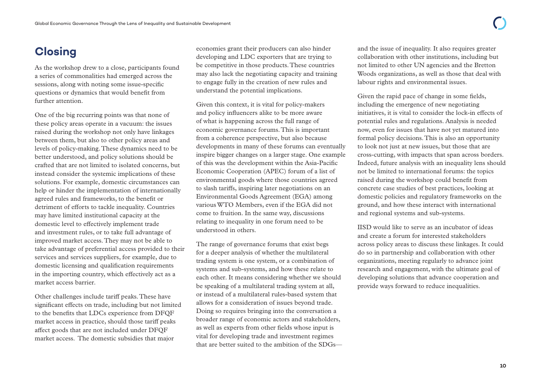## <span id="page-11-0"></span>**Closing**

As the workshop drew to a close, participants found a series of commonalities had emerged across the sessions, along with noting some issue-specific questions or dynamics that would benefit from further attention.

One of the big recurring points was that none of these policy areas operate in a vacuum: the issues raised during the workshop not only have linkages between them, but also to other policy areas and levels of policy-making. These dynamics need to be better understood, and policy solutions should be crafted that are not limited to isolated concerns, but instead consider the systemic implications of these solutions. For example, domestic circumstances can help or hinder the implementation of internationally agreed rules and frameworks, to the benefit or detriment of efforts to tackle inequality. Countries may have limited institutional capacity at the domestic level to effectively implement trade and investment rules, or to take full advantage of improved market access. They may not be able to take advantage of preferential access provided to their services and services suppliers, for example, due to domestic licensing and qualification requirements in the importing country, which effectively act as a market access barrier.

Other challenges include tariff peaks. These have significant effects on trade, including but not limited to the benefits that LDCs experience from DFQF market access in practice, should those tariff peaks affect goods that are not included under DFQF market access. The domestic subsidies that major

economies grant their producers can also hinder developing and LDC exporters that are trying to be competitive in those products. These countries may also lack the negotiating capacity and training to engage fully in the creation of new rules and understand the potential implications.

Given this context, it is vital for policy-makers and policy influencers alike to be more aware of what is happening across the full range of economic governance forums. This is important from a coherence perspective, but also because developments in many of these forums can eventually inspire bigger changes on a larger stage. One example of this was the development within the Asia-Pacific Economic Cooperation (APEC) forum of a list of environmental goods where those countries agreed to slash tariffs, inspiring later negotiations on an Environmental Goods Agreement (EGA) among various WTO Members, even if the EGA did not come to fruition. In the same way, discussions relating to inequality in one forum need to be understood in others.

The range of governance forums that exist begs for a deeper analysis of whether the multilateral trading system is one system, or a combination of systems and sub-systems, and how these relate to each other. It means considering whether we should be speaking of a multilateral trading system at all, or instead of a multilateral rules-based system that allows for a consideration of issues beyond trade. Doing so requires bringing into the conversation a broader range of economic actors and stakeholders, as well as experts from other fields whose input is vital for developing trade and investment regimes that are better suited to the ambition of the SDGs—

and the issue of inequality. It also requires greater collaboration with other institutions, including but not limited to other UN agencies and the Bretton Woods organizations, as well as those that deal with labour rights and environmental issues.

Given the rapid pace of change in some fields, including the emergence of new negotiating initiatives, it is vital to consider the lock-in effects of potential rules and regulations. Analysis is needed now, even for issues that have not yet matured into formal policy decisions. This is also an opportunity to look not just at new issues, but those that are cross-cutting, with impacts that span across borders. Indeed, future analysis with an inequality lens should not be limited to international forums: the topics raised during the workshop could benefit from concrete case studies of best practices, looking at domestic policies and regulatory frameworks on the ground, and how these interact with international and regional systems and sub-systems.

IISD would like to serve as an incubator of ideas and create a forum for interested stakeholders across policy areas to discuss these linkages. It could do so in partnership and collaboration with other organizations, meeting regularly to advance joint research and engagement, with the ultimate goal of developing solutions that advance cooperation and provide ways forward to reduce inequalities.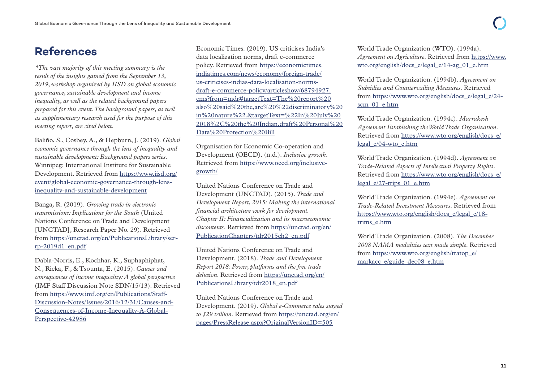### <span id="page-12-0"></span>**References**

*\*The vast majority of this meeting summary is the result of the insights gained from the September 13, 2019, workshop organized by IISD on global economic governance, sustainable development and income inequality, as well as the related background papers prepared for this event. The background papers, as well as supplementary research used for the purpose of this meeting report, are cited below.*

Baliño, S., Cosbey, A., & Hepburn, J. (2019). *Global economic governance through the lens of inequality and sustainable development: Background papers series*. Winnipeg: International Institute for Sustainable Development. Retrieved from [https://www.iisd.org/](https://www.iisd.org/event/global-economic-governance-through-lens-inequality-and-sustainable-development) [event/global-economic-governance-through-lens](https://www.iisd.org/event/global-economic-governance-through-lens-inequality-and-sustainable-development)[inequality-and-sustainable-development](https://www.iisd.org/event/global-economic-governance-through-lens-inequality-and-sustainable-development)

Banga, R. (2019). *Growing trade in electronic transmissions: Implications for the South* (United Nations Conference on Trade and Development [UNCTAD], Research Paper No. 29). Retrieved from [https://unctad.org/en/PublicationsLibrary/ser](https://unctad.org/en/PublicationsLibrary/ser-rp-2019d1_en.pdf)[rp-2019d1\\_en.pdf](https://unctad.org/en/PublicationsLibrary/ser-rp-2019d1_en.pdf)

Dabla-Norris, E., Kochhar, K., Suphaphiphat, N., Ricka, F., & Tsounta, E. (2015). *Causes and consequences of income inequality: A global perspective* (IMF Staff Discussion Note SDN/15/13). Retrieved from [https://www.imf.org/en/Publications/Staff-](https://www.imf.org/en/Publications/Staff-Discussion-Notes/Issues/2016/12/31/Causes-and-Consequences-of-Income-Inequality-A-Global-Perspective-42986)[Discussion-Notes/Issues/2016/12/31/Causes-and-](https://www.imf.org/en/Publications/Staff-Discussion-Notes/Issues/2016/12/31/Causes-and-Consequences-of-Income-Inequality-A-Global-Perspective-42986)[Consequences-of-Income-Inequality-A-Global-](https://www.imf.org/en/Publications/Staff-Discussion-Notes/Issues/2016/12/31/Causes-and-Consequences-of-Income-Inequality-A-Global-Perspective-42986)[Perspective-42986](https://www.imf.org/en/Publications/Staff-Discussion-Notes/Issues/2016/12/31/Causes-and-Consequences-of-Income-Inequality-A-Global-Perspective-42986)

Economic Times. (2019). US criticises India's data localization norms, draft e-commerce policy. Retrieved from [https://economictimes.](https://economictimes.indiatimes.com/news/economy/foreign-trade/us-criticises-indias-data-localisation-norms-draft-e-commerce-policy/articleshow/68794927.cms?from=mdr#targetText=The%20report%20also%20said%20the,are%20%22discriminatory%20in%20nature%22.&targetText=%22In%20July%202018%2C%20the%20Indian,draft%20Personal%20Data%20Protection%20Bill) [indiatimes.com/news/economy/foreign-trade/](https://economictimes.indiatimes.com/news/economy/foreign-trade/us-criticises-indias-data-localisation-norms-draft-e-commerce-policy/articleshow/68794927.cms?from=mdr#targetText=The%20report%20also%20said%20the,are%20%22discriminatory%20in%20nature%22.&targetText=%22In%20July%202018%2C%20the%20Indian,draft%20Personal%20Data%20Protection%20Bill) [us-criticises-indias-data-localisation-norms](https://economictimes.indiatimes.com/news/economy/foreign-trade/us-criticises-indias-data-localisation-norms-draft-e-commerce-policy/articleshow/68794927.cms?from=mdr#targetText=The%20report%20also%20said%20the,are%20%22discriminatory%20in%20nature%22.&targetText=%22In%20July%202018%2C%20the%20Indian,draft%20Personal%20Data%20Protection%20Bill)[draft-e-commerce-policy/articleshow/68794927.](https://economictimes.indiatimes.com/news/economy/foreign-trade/us-criticises-indias-data-localisation-norms-draft-e-commerce-policy/articleshow/68794927.cms?from=mdr#targetText=The%20report%20also%20said%20the,are%20%22discriminatory%20in%20nature%22.&targetText=%22In%20July%202018%2C%20the%20Indian,draft%20Personal%20Data%20Protection%20Bill) [cms?from=mdr#targetText=The%20report%20](https://economictimes.indiatimes.com/news/economy/foreign-trade/us-criticises-indias-data-localisation-norms-draft-e-commerce-policy/articleshow/68794927.cms?from=mdr#targetText=The%20report%20also%20said%20the,are%20%22discriminatory%20in%20nature%22.&targetText=%22In%20July%202018%2C%20the%20Indian,draft%20Personal%20Data%20Protection%20Bill) [also%20said%20the,are%20%22discriminatory%20](https://economictimes.indiatimes.com/news/economy/foreign-trade/us-criticises-indias-data-localisation-norms-draft-e-commerce-policy/articleshow/68794927.cms?from=mdr#targetText=The%20report%20also%20said%20the,are%20%22discriminatory%20in%20nature%22.&targetText=%22In%20July%202018%2C%20the%20Indian,draft%20Personal%20Data%20Protection%20Bill) [in%20nature%22.&targetText=%22In%20July%20](https://economictimes.indiatimes.com/news/economy/foreign-trade/us-criticises-indias-data-localisation-norms-draft-e-commerce-policy/articleshow/68794927.cms?from=mdr#targetText=The%20report%20also%20said%20the,are%20%22discriminatory%20in%20nature%22.&targetText=%22In%20July%202018%2C%20the%20Indian,draft%20Personal%20Data%20Protection%20Bill) [2018%2C%20the%20Indian,draft%20Personal%20](https://economictimes.indiatimes.com/news/economy/foreign-trade/us-criticises-indias-data-localisation-norms-draft-e-commerce-policy/articleshow/68794927.cms?from=mdr#targetText=The%20report%20also%20said%20the,are%20%22discriminatory%20in%20nature%22.&targetText=%22In%20July%202018%2C%20the%20Indian,draft%20Personal%20Data%20Protection%20Bill) [Data%20Protection%20Bill](https://economictimes.indiatimes.com/news/economy/foreign-trade/us-criticises-indias-data-localisation-norms-draft-e-commerce-policy/articleshow/68794927.cms?from=mdr#targetText=The%20report%20also%20said%20the,are%20%22discriminatory%20in%20nature%22.&targetText=%22In%20July%202018%2C%20the%20Indian,draft%20Personal%20Data%20Protection%20Bill)

Organisation for Economic Co-operation and Development (OECD). (n.d.). *Inclusive growth*. Retrieved from [https://www.oecd.org/inclusive](https://www.oecd.org/inclusive-growth/)[growth/](https://www.oecd.org/inclusive-growth/)

United Nations Conference on Trade and Development (UNCTAD). (2015). *Trade and Development Report, 2015: Making the international financial architecture work for development. Chapter II: Financialization and its macroeconomic discontents*. Retrieved from [https://unctad.org/en/](https://unctad.org/en/PublicationChapters/tdr2015ch2_en.pdf) [PublicationChapters/tdr2015ch2\\_en.pdf](https://unctad.org/en/PublicationChapters/tdr2015ch2_en.pdf)

United Nations Conference on Trade and Development. (2018). *Trade and Development Report 2018: Power, platforms and the free trade delusion*. Retrieved from [https://unctad.org/en/](https://unctad.org/en/PublicationsLibrary/tdr2018_en.pdf) [PublicationsLibrary/tdr2018\\_en.pdf](https://unctad.org/en/PublicationsLibrary/tdr2018_en.pdf)

United Nations Conference on Trade and Development. (2019). *Global e-Commerce sales surged to \$29 trillion*. Retrieved from [https://unctad.org/en/](https://unctad.org/en/pages/PressRelease.aspx?OriginalVersionID=505) [pages/PressRelease.aspx?OriginalVersionID=505](https://unctad.org/en/pages/PressRelease.aspx?OriginalVersionID=505)

World Trade Organization (WTO). (1994a). *Agreement on Agriculture*. Retrieved from [https://www.](https://www.wto.org/english/docs_e/legal_e/14-ag_01_e.htm) [wto.org/english/docs\\_e/legal\\_e/14-ag\\_01\\_e.htm](https://www.wto.org/english/docs_e/legal_e/14-ag_01_e.htm)

World Trade Organization. (1994b). *Agreement on Subsidies and Countervailing Measures*. Retrieved from [https://www.wto.org/english/docs\\_e/legal\\_e/24](https://www.wto.org/english/docs_e/legal_e/24-scm_01_e.htm) [scm\\_01\\_e.htm](https://www.wto.org/english/docs_e/legal_e/24-scm_01_e.htm)

World Trade Organization. (1994c). *Marrakesh Agreement Establishing the World Trade Organization*. Retrieved from [https://www.wto.org/english/docs\\_e/](https://www.wto.org/english/docs_e/legal_e/04-wto_e.htm) [legal\\_e/04-wto\\_e.htm](https://www.wto.org/english/docs_e/legal_e/04-wto_e.htm)

World Trade Organization. (1994d). *Agreement on Trade-Related Aspects of Intellectual Property Rights*. Retrieved from [https://www.wto.org/english/docs\\_e/](https://www.wto.org/english/docs_e/legal_e/27-trips_01_e.htm) [legal\\_e/27-trips\\_01\\_e.htm](https://www.wto.org/english/docs_e/legal_e/27-trips_01_e.htm)

World Trade Organization. (1994e). *Agreement on Trade-Related Investment Measures*. Retrieved from [https://www.wto.org/english/docs\\_e/legal\\_e/18](https://www.wto.org/english/docs_e/legal_e/18-trims_e.htm) [trims\\_e.htm](https://www.wto.org/english/docs_e/legal_e/18-trims_e.htm)

World Trade Organization. (2008). *The December 2008 NAMA modalities text made simple*. Retrieved from [https://www.wto.org/english/tratop\\_e/](https://www.wto.org/english/tratop_e/markacc_e/guide_dec08_e.htm) [markacc\\_e/guide\\_dec08\\_e.htm](https://www.wto.org/english/tratop_e/markacc_e/guide_dec08_e.htm)